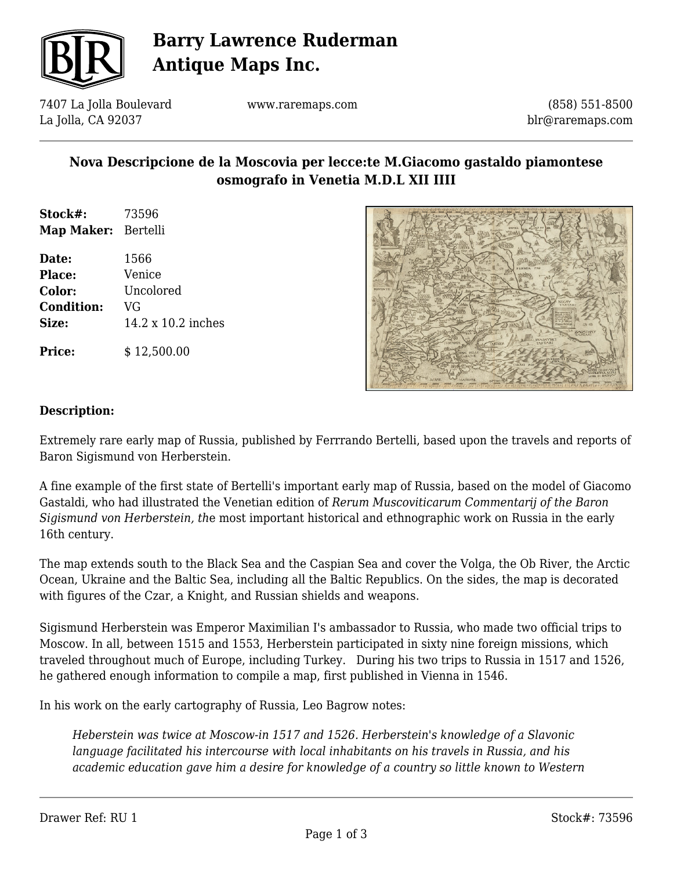

# **Barry Lawrence Ruderman Antique Maps Inc.**

7407 La Jolla Boulevard La Jolla, CA 92037

www.raremaps.com

(858) 551-8500 blr@raremaps.com

## **Nova Descripcione de la Moscovia per lecce:te M.Giacomo gastaldo piamontese osmografo in Venetia M.D.L XII IIII**

- **Stock#:** 73596 **Map Maker:** Bertelli
- **Date:** 1566 **Place:** Venice **Color:** Uncolored **Condition:** VG **Size:** 14.2 x 10.2 inches

**Price:**  $$12,500.00$ 



#### **Description:**

Extremely rare early map of Russia, published by Ferrrando Bertelli, based upon the travels and reports of Baron Sigismund von Herberstein.

A fine example of the first state of Bertelli's important early map of Russia, based on the model of Giacomo Gastaldi, who had illustrated the Venetian edition of *Rerum Muscoviticarum Commentarij of the Baron Sigismund von Herberstein, th*e most important historical and ethnographic work on Russia in the early 16th century.

The map extends south to the Black Sea and the Caspian Sea and cover the Volga, the Ob River, the Arctic Ocean, Ukraine and the Baltic Sea, including all the Baltic Republics. On the sides, the map is decorated with figures of the Czar, a Knight, and Russian shields and weapons.

Sigismund Herberstein was Emperor Maximilian I's ambassador to Russia, who made two official trips to Moscow. In all, between 1515 and 1553, Herberstein participated in sixty nine foreign missions, which traveled throughout much of Europe, including Turkey. During his two trips to Russia in 1517 and 1526, he gathered enough information to compile a map, first published in Vienna in 1546.

In his work on the early cartography of Russia, Leo Bagrow notes:

*Heberstein was twice at Moscow-in 1517 and 1526. Herberstein's knowledge of a Slavonic language facilitated his intercourse with local inhabitants on his travels in Russia, and his academic education gave him a desire for knowledge of a country so little known to Western*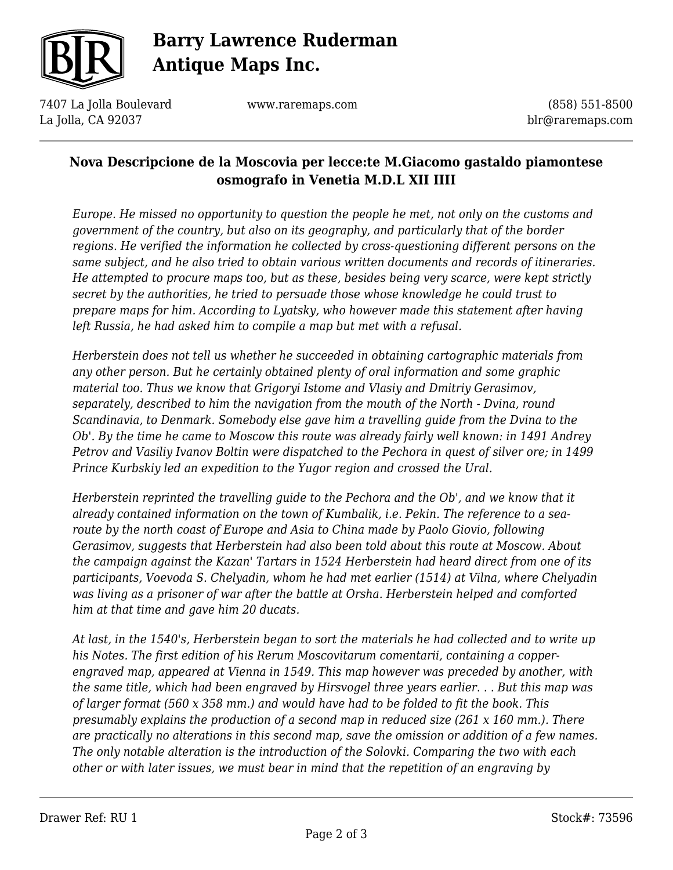

# **Barry Lawrence Ruderman Antique Maps Inc.**

7407 La Jolla Boulevard La Jolla, CA 92037

www.raremaps.com

(858) 551-8500 blr@raremaps.com

## **Nova Descripcione de la Moscovia per lecce:te M.Giacomo gastaldo piamontese osmografo in Venetia M.D.L XII IIII**

*Europe. He missed no opportunity to question the people he met, not only on the customs and government of the country, but also on its geography, and particularly that of the border regions. He verified the information he collected by cross-questioning different persons on the same subject, and he also tried to obtain various written documents and records of itineraries. He attempted to procure maps too, but as these, besides being very scarce, were kept strictly secret by the authorities, he tried to persuade those whose knowledge he could trust to prepare maps for him. According to Lyatsky, who however made this statement after having left Russia, he had asked him to compile a map but met with a refusal.*

*Herberstein does not tell us whether he succeeded in obtaining cartographic materials from any other person. But he certainly obtained plenty of oral information and some graphic material too. Thus we know that Grigoryi Istome and Vlasiy and Dmitriy Gerasimov, separately, described to him the navigation from the mouth of the North - Dvina, round Scandinavia, to Denmark. Somebody else gave him a travelling guide from the Dvina to the Ob'. By the time he came to Moscow this route was already fairly well known: in 1491 Andrey Petrov and Vasiliy Ivanov Boltin were dispatched to the Pechora in quest of silver ore; in 1499 Prince Kurbskiy led an expedition to the Yugor region and crossed the Ural.*

*Herberstein reprinted the travelling guide to the Pechora and the Ob', and we know that it already contained information on the town of Kumbalik, i.e. Pekin. The reference to a searoute by the north coast of Europe and Asia to China made by Paolo Giovio, following Gerasimov, suggests that Herberstein had also been told about this route at Moscow. About the campaign against the Kazan' Tartars in 1524 Herberstein had heard direct from one of its participants, Voevoda S. Chelyadin, whom he had met earlier (1514) at Vilna, where Chelyadin was living as a prisoner of war after the battle at Orsha. Herberstein helped and comforted him at that time and gave him 20 ducats.*

*At last, in the 1540's, Herberstein began to sort the materials he had collected and to write up his Notes. The first edition of his Rerum Moscovitarum comentarii, containing a copperengraved map, appeared at Vienna in 1549. This map however was preceded by another, with the same title, which had been engraved by Hirsvogel three years earlier. . . But this map was of larger format (560 x 358 mm.) and would have had to be folded to fit the book. This presumably explains the production of a second map in reduced size (261 x 160 mm.). There are practically no alterations in this second map, save the omission or addition of a few names. The only notable alteration is the introduction of the Solovki. Comparing the two with each other or with later issues, we must bear in mind that the repetition of an engraving by*